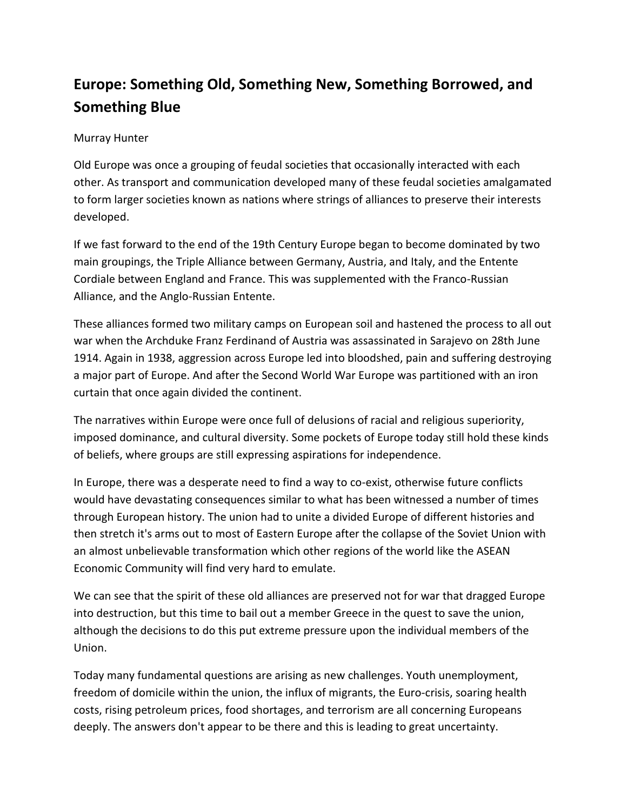## **Europe: Something Old, Something New, Something Borrowed, and Something Blue**

## Murray Hunter

Old Europe was once a grouping of feudal societies that occasionally interacted with each other. As transport and communication developed many of these feudal societies amalgamated to form larger societies known as nations where strings of alliances to preserve their interests developed.

If we fast forward to the end of the 19th Century Europe began to become dominated by two main groupings, the Triple Alliance between Germany, Austria, and Italy, and the Entente Cordiale between England and France. This was supplemented with the Franco-Russian Alliance, and the Anglo-Russian Entente.

These alliances formed two military camps on European soil and hastened the process to all out war when the Archduke Franz Ferdinand of Austria was assassinated in Sarajevo on 28th June 1914. Again in 1938, aggression across Europe led into bloodshed, pain and suffering destroying a major part of Europe. And after the Second World War Europe was partitioned with an iron curtain that once again divided the continent.

The narratives within Europe were once full of delusions of racial and religious superiority, imposed dominance, and cultural diversity. Some pockets of Europe today still hold these kinds of beliefs, where groups are still expressing aspirations for independence.

In Europe, there was a desperate need to find a way to co-exist, otherwise future conflicts would have devastating consequences similar to what has been witnessed a number of times through European history. The union had to unite a divided Europe of different histories and then stretch it's arms out to most of Eastern Europe after the collapse of the Soviet Union with an almost unbelievable transformation which other regions of the world like the ASEAN Economic Community will find very hard to emulate.

We can see that the spirit of these old alliances are preserved not for war that dragged Europe into destruction, but this time to bail out a member Greece in the quest to save the union, although the decisions to do this put extreme pressure upon the individual members of the Union.

Today many fundamental questions are arising as new challenges. Youth unemployment, freedom of domicile within the union, the influx of migrants, the Euro-crisis, soaring health costs, rising petroleum prices, food shortages, and terrorism are all concerning Europeans deeply. The answers don't appear to be there and this is leading to great uncertainty.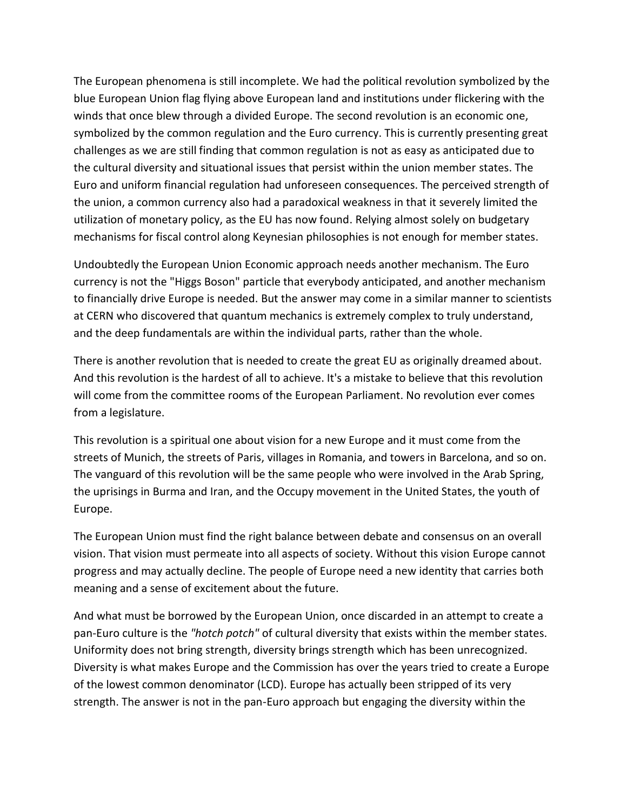The European phenomena is still incomplete. We had the political revolution symbolized by the blue European Union flag flying above European land and institutions under flickering with the winds that once blew through a divided Europe. The second revolution is an economic one, symbolized by the common regulation and the Euro currency. This is currently presenting great challenges as we are still finding that common regulation is not as easy as anticipated due to the cultural diversity and situational issues that persist within the union member states. The Euro and uniform financial regulation had unforeseen consequences. The perceived strength of the union, a common currency also had a paradoxical weakness in that it severely limited the utilization of monetary policy, as the EU has now found. Relying almost solely on budgetary mechanisms for fiscal control along Keynesian philosophies is not enough for member states.

Undoubtedly the European Union Economic approach needs another mechanism. The Euro currency is not the "Higgs Boson" particle that everybody anticipated, and another mechanism to financially drive Europe is needed. But the answer may come in a similar manner to scientists at CERN who discovered that quantum mechanics is extremely complex to truly understand, and the deep fundamentals are within the individual parts, rather than the whole.

There is another revolution that is needed to create the great EU as originally dreamed about. And this revolution is the hardest of all to achieve. It's a mistake to believe that this revolution will come from the committee rooms of the European Parliament. No revolution ever comes from a legislature.

This revolution is a spiritual one about vision for a new Europe and it must come from the streets of Munich, the streets of Paris, villages in Romania, and towers in Barcelona, and so on. The vanguard of this revolution will be the same people who were involved in the Arab Spring, the uprisings in Burma and Iran, and the Occupy movement in the United States, the youth of Europe.

The European Union must find the right balance between debate and consensus on an overall vision. That vision must permeate into all aspects of society. Without this vision Europe cannot progress and may actually decline. The people of Europe need a new identity that carries both meaning and a sense of excitement about the future.

And what must be borrowed by the European Union, once discarded in an attempt to create a pan-Euro culture is the *"hotch potch"* of cultural diversity that exists within the member states. Uniformity does not bring strength, diversity brings strength which has been unrecognized. Diversity is what makes Europe and the Commission has over the years tried to create a Europe of the lowest common denominator (LCD). Europe has actually been stripped of its very strength. The answer is not in the pan-Euro approach but engaging the diversity within the